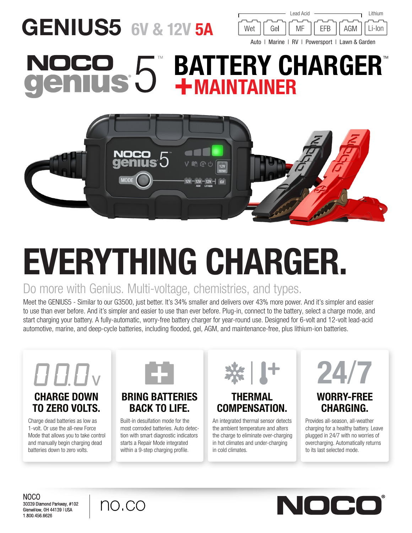## GENIUS5 6V & 12V 5A



#### **BATTERY CHARGER®** CO 5 NOCO +MAINTAINER



# EVERYTHING CHARGER.

#### Do more with Genius. Multi-voltage, chemistries, and types.

Meet the GENIUS5 - Similar to our G3500, just better. It's 34% smaller and delivers over 43% more power. And it's simpler and easier to use than ever before. And it's simpler and easier to use than ever before. Plug-in, connect to the battery, select a charge mode, and start charging your battery. A fully-automatic, worry-free battery charger for year-round use. Designed for 6-volt and 12-volt lead-acid automotive, marine, and deep-cycle batteries, including flooded, gel, AGM, and maintenance-free, plus lithium-ion batteries.



### TO ZERO VOLTS.

Charge dead batteries as low as 1-volt. Or use the all-new Force Mode that allows you to take control and manually begin charging dead batteries down to zero volts.



#### BRING BATTERIES BACK TO LIFE.

Built-in desulfation mode for the most corroded batteries. Auto detection with smart diagnostic indicators starts a Repair Mode integrated within a 9-step charging profile.



#### THERMAL COMPENSATION.

An integrated thermal sensor detects the ambient temperature and alters the charge to eliminate over-charging in hot climates and under-charging in cold climates.



#### WORRY-FREE CHARGING.

Provides all-season, all-weather charging for a healthy battery. Leave plugged in 24/7 with no worries of overcharging. Automatically returns to its last selected mode.

NOCO 30339 Diamond Parkway, #102 Glenwillow, OH 44139 | USA 1.800.456.6626